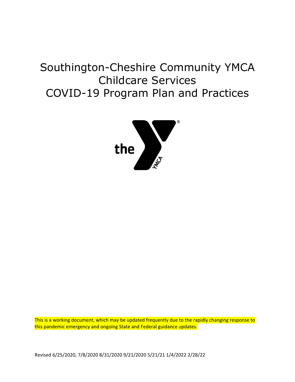# Southington-Cheshire Community YMCA Childcare Services COVID-19 Program Plan and Practices



This is a working document, which may be updated frequently due to the rapidly changing response to this pandemic emergency and ongoing State and Federal guidance updates.

Revised 6/25/2020, 7/8/2020 8/31/2020 9/21/2020 5/21/21 1/4/2022 2/28/22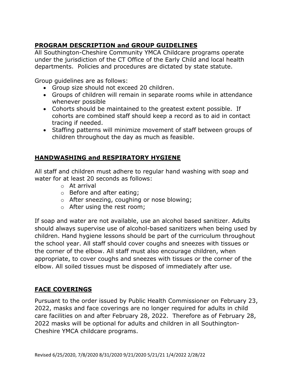# **PROGRAM DESCRIPTION and GROUP GUIDELINES**

All Southington-Cheshire Community YMCA Childcare programs operate under the jurisdiction of the CT Office of the Early Child and local health departments. Policies and procedures are dictated by state statute.

Group guidelines are as follows:

- Group size should not exceed 20 children.
- Groups of children will remain in separate rooms while in attendance whenever possible
- Cohorts should be maintained to the greatest extent possible. If cohorts are combined staff should keep a record as to aid in contact tracing if needed.
- Staffing patterns will minimize movement of staff between groups of children throughout the day as much as feasible.

## **HANDWASHING and RESPIRATORY HYGIENE**

All staff and children must adhere to regular hand washing with soap and water for at least 20 seconds as follows:

- o At arrival
- o Before and after eating;
- o After sneezing, coughing or nose blowing;
- o After using the rest room;

If soap and water are not available, use an alcohol based sanitizer. Adults should always supervise use of alcohol-based sanitizers when being used by children. Hand hygiene lessons should be part of the curriculum throughout the school year. All staff should cover coughs and sneezes with tissues or the corner of the elbow. All staff must also encourage children, when appropriate, to cover coughs and sneezes with tissues or the corner of the elbow. All soiled tissues must be disposed of immediately after use.

## **FACE COVERINGS**

Pursuant to the order issued by Public Health Commissioner on February 23, 2022, masks and face coverings are no longer required for adults in child care facilities on and after February 28, 2022. Therefore as of February 28, 2022 masks will be optional for adults and children in all Southington-Cheshire YMCA childcare programs.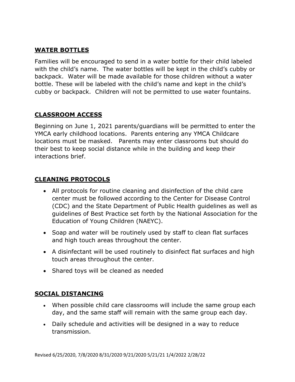## **WATER BOTTLES**

Families will be encouraged to send in a water bottle for their child labeled with the child's name. The water bottles will be kept in the child's cubby or backpack. Water will be made available for those children without a water bottle. These will be labeled with the child's name and kept in the child's cubby or backpack. Children will not be permitted to use water fountains.

## **CLASSROOM ACCESS**

Beginning on June 1, 2021 parents/guardians will be permitted to enter the YMCA early childhood locations. Parents entering any YMCA Childcare locations must be masked. Parents may enter classrooms but should do their best to keep social distance while in the building and keep their interactions brief.

#### **CLEANING PROTOCOLS**

- All protocols for routine cleaning and disinfection of the child care center must be followed according to the Center for Disease Control (CDC) and the State Department of Public Health guidelines as well as guidelines of Best Practice set forth by the National Association for the Education of Young Children (NAEYC).
- Soap and water will be routinely used by staff to clean flat surfaces and high touch areas throughout the center.
- A disinfectant will be used routinely to disinfect flat surfaces and high touch areas throughout the center.
- Shared toys will be cleaned as needed

#### **SOCIAL DISTANCING**

- When possible child care classrooms will include the same group each day, and the same staff will remain with the same group each day.
- Daily schedule and activities will be designed in a way to reduce transmission.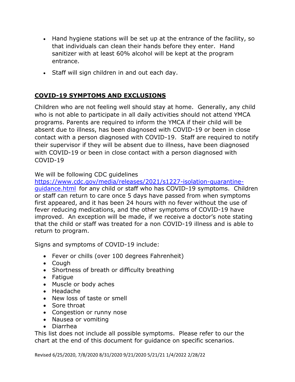- Hand hygiene stations will be set up at the entrance of the facility, so that individuals can clean their hands before they enter. Hand sanitizer with at least 60% alcohol will be kept at the program entrance.
- Staff will sign children in and out each day.

### **COVID-19 SYMPTOMS AND EXCLUSIONS**

Children who are not feeling well should stay at home. Generally, any child who is not able to participate in all daily activities should not attend YMCA programs. Parents are required to inform the YMCA if their child will be absent due to illness, has been diagnosed with COVID-19 or been in close contact with a person diagnosed with COVID-19. Staff are required to notify their supervisor if they will be absent due to illness, have been diagnosed with COVID-19 or been in close contact with a person diagnosed with COVID-19

#### We will be following CDC guidelines

[https://www.cdc.gov/media/releases/2021/s1227-isolation-quarantine](https://www.cdc.gov/media/releases/2021/s1227-isolation-quarantine-guidance.html)[guidance.html](https://www.cdc.gov/media/releases/2021/s1227-isolation-quarantine-guidance.html) for any child or staff who has COVID-19 symptoms. Children or staff can return to care once 5 days have passed from when symptoms first appeared, and it has been 24 hours with no fever without the use of fever reducing medications, and the other symptoms of COVID-19 have improved. An exception will be made, if we receive a doctor's note stating that the child or staff was treated for a non COVID-19 illness and is able to return to program.

Signs and symptoms of COVID-19 include:

- Fever or chills (over 100 degrees Fahrenheit)
- Cough
- Shortness of breath or difficulty breathing
- Fatigue
- Muscle or body aches
- Headache
- New loss of taste or smell
- Sore throat
- Congestion or runny nose
- Nausea or vomiting
- Diarrhea

This list does not include all possible symptoms. Please refer to our the chart at the end of this document for guidance on specific scenarios.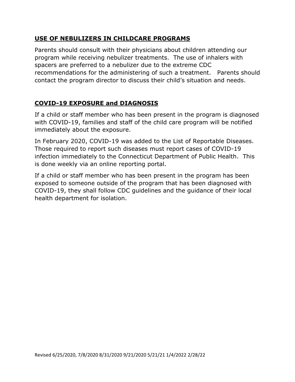#### **USE OF NEBULIZERS IN CHILDCARE PROGRAMS**

Parents should consult with their physicians about children attending our program while receiving nebulizer treatments. The use of inhalers with spacers are preferred to a nebulizer due to the extreme CDC recommendations for the administering of such a treatment. Parents should contact the program director to discuss their child's situation and needs.

## **COVID-19 EXPOSURE and DIAGNOSIS**

If a child or staff member who has been present in the program is diagnosed with COVID-19, families and staff of the child care program will be notified immediately about the exposure.

In February 2020, COVID-19 was added to the List of Reportable Diseases. Those required to report such diseases must report cases of COVID-19 infection immediately to the Connecticut Department of Public Health. This is done weekly via an online reporting portal.

If a child or staff member who has been present in the program has been exposed to someone outside of the program that has been diagnosed with COVID-19, they shall follow CDC guidelines and the guidance of their local health department for isolation.